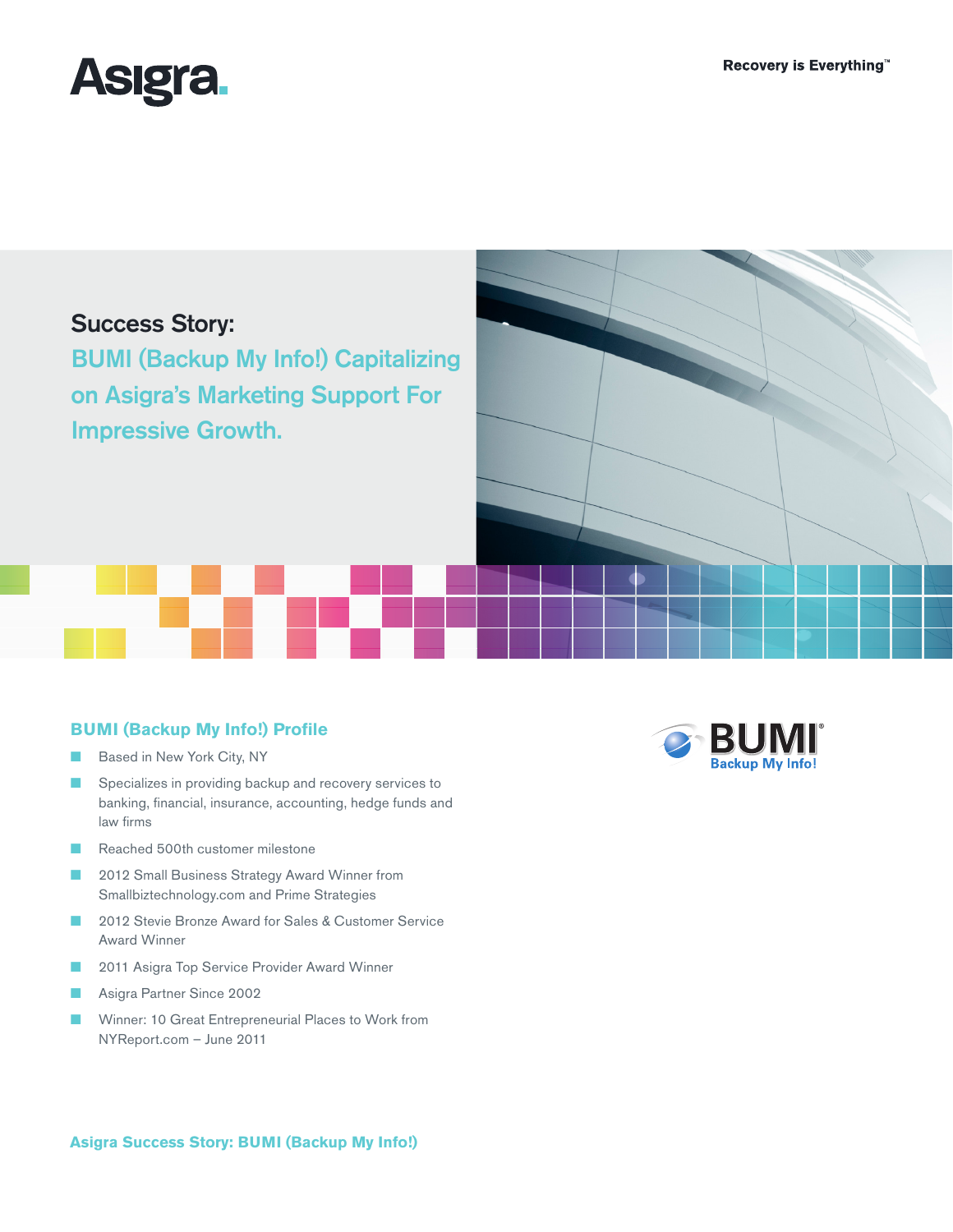

# Success Story:

BUMI (Backup My Info!) Capitalizing on Asigra's Marketing Support For Impressive Growth.

# **BUMI (Backup My Info!) Profile**

- Based in New York City, NY
- Specializes in providing backup and recovery services to banking, financial, insurance, accounting, hedge funds and law firms
- Reached 500th customer milestone
- 2012 Small Business Strategy Award Winner from Smallbiztechnology.com and Prime Strategies
- 2012 Stevie Bronze Award for Sales & Customer Service Award Winner
- 2011 Asigra Top Service Provider Award Winner
- Asigra Partner Since 2002
- Winner: 10 Great Entrepreneurial Places to Work from NYReport.com – June 2011



#### **Asigra Success Story: BUMI (Backup My Info!)**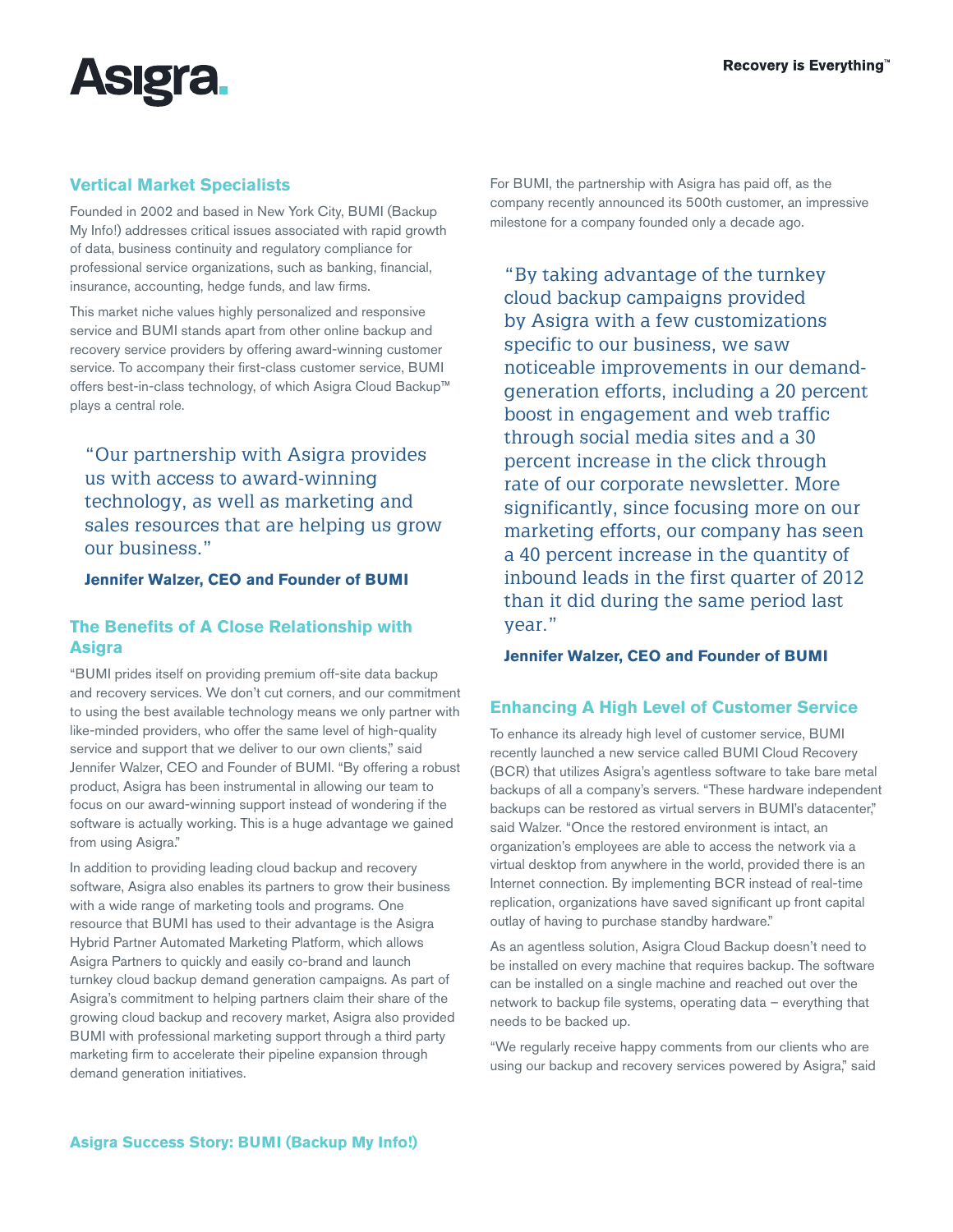

# **Vertical Market Specialists**

Founded in 2002 and based in New York City, BUMI (Backup My Info!) addresses critical issues associated with rapid growth of data, business continuity and regulatory compliance for professional service organizations, such as banking, financial, insurance, accounting, hedge funds, and law firms.

This market niche values highly personalized and responsive service and BUMI stands apart from other online backup and recovery service providers by offering award-winning customer service. To accompany their first-class customer service, BUMI offers best-in-class technology, of which Asigra Cloud Backup™ plays a central role.

"Our partnership with Asigra provides us with access to award-winning technology, as well as marketing and sales resources that are helping us grow our business."

#### **Jennifer Walzer, CEO and Founder of BUMI**

# **The Benefits of A Close Relationship with Asigra**

"BUMI prides itself on providing premium off-site data backup and recovery services. We don't cut corners, and our commitment to using the best available technology means we only partner with like-minded providers, who offer the same level of high-quality service and support that we deliver to our own clients," said Jennifer Walzer, CEO and Founder of BUMI. "By offering a robust product, Asigra has been instrumental in allowing our team to focus on our award-winning support instead of wondering if the software is actually working. This is a huge advantage we gained from using Asigra."

In addition to providing leading cloud backup and recovery software, Asigra also enables its partners to grow their business with a wide range of marketing tools and programs. One resource that BUMI has used to their advantage is the Asigra Hybrid Partner Automated Marketing Platform, which allows Asigra Partners to quickly and easily co-brand and launch turnkey cloud backup demand generation campaigns. As part of Asigra's commitment to helping partners claim their share of the growing cloud backup and recovery market, Asigra also provided BUMI with professional marketing support through a third party marketing firm to accelerate their pipeline expansion through demand generation initiatives.

For BUMI, the partnership with Asigra has paid off, as the company recently announced its 500th customer, an impressive milestone for a company founded only a decade ago.

"By taking advantage of the turnkey cloud backup campaigns provided by Asigra with a few customizations specific to our business, we saw noticeable improvements in our demandgeneration efforts, including a 20 percent boost in engagement and web traffic through social media sites and a 30 percent increase in the click through rate of our corporate newsletter. More significantly, since focusing more on our marketing efforts, our company has seen a 40 percent increase in the quantity of inbound leads in the first quarter of 2012 than it did during the same period last year."

#### **Jennifer Walzer, CEO and Founder of BUMI**

#### **Enhancing A High Level of Customer Service**

To enhance its already high level of customer service, BUMI recently launched a new service called BUMI Cloud Recovery (BCR) that utilizes Asigra's agentless software to take bare metal backups of all a company's servers. "These hardware independent backups can be restored as virtual servers in BUMI's datacenter," said Walzer. "Once the restored environment is intact, an organization's employees are able to access the network via a virtual desktop from anywhere in the world, provided there is an Internet connection. By implementing BCR instead of real-time replication, organizations have saved significant up front capital outlay of having to purchase standby hardware."

As an agentless solution, Asigra Cloud Backup doesn't need to be installed on every machine that requires backup. The software can be installed on a single machine and reached out over the network to backup file systems, operating data – everything that needs to be backed up.

"We regularly receive happy comments from our clients who are using our backup and recovery services powered by Asigra," said